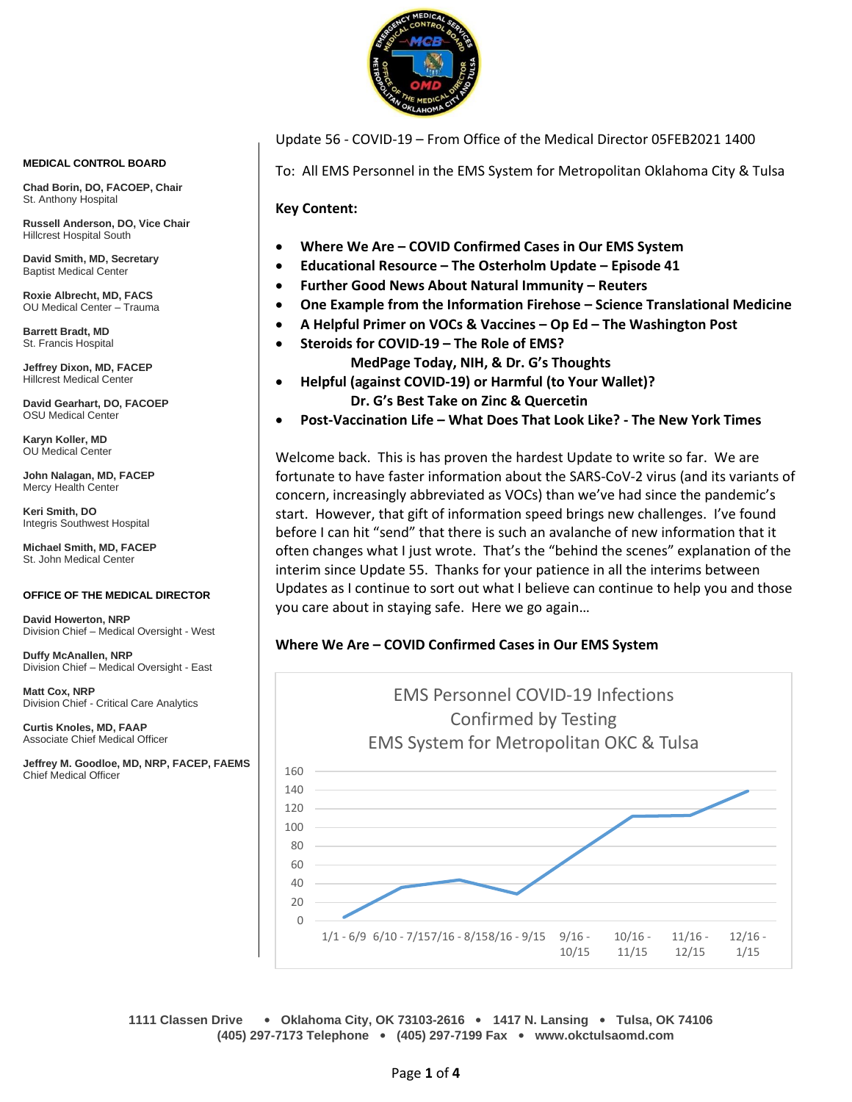

Update 56 - COVID-19 – From Office of the Medical Director 05FEB2021 1400

To: All EMS Personnel in the EMS System for Metropolitan Oklahoma City & Tulsa

**Key Content:**

- **Where We Are – COVID Confirmed Cases in Our EMS System**
- **Educational Resource – The Osterholm Update – Episode 41**
- **Further Good News About Natural Immunity – Reuters**
- **One Example from the Information Firehose – Science Translational Medicine**
- **A Helpful Primer on VOCs & Vaccines – Op Ed – The Washington Post**
- **Steroids for COVID-19 – The Role of EMS? MedPage Today, NIH, & Dr. G's Thoughts**
- **Helpful (against COVID-19) or Harmful (to Your Wallet)? Dr. G's Best Take on Zinc & Quercetin**
- **Post-Vaccination Life – What Does That Look Like? - The New York Times**

Welcome back. This is has proven the hardest Update to write so far. We are fortunate to have faster information about the SARS-CoV-2 virus (and its variants of concern, increasingly abbreviated as VOCs) than we've had since the pandemic's start. However, that gift of information speed brings new challenges. I've found before I can hit "send" that there is such an avalanche of new information that it often changes what I just wrote. That's the "behind the scenes" explanation of the interim since Update 55. Thanks for your patience in all the interims between Updates as I continue to sort out what I believe can continue to help you and those you care about in staying safe. Here we go again…

### **Where We Are – COVID Confirmed Cases in Our EMS System**



**1111 Classen Drive** • **Oklahoma City, OK 73103-2616** • **1417 N. Lansing** • **Tulsa, OK 74106 (405) 297-7173 Telephone** • **(405) 297-7199 Fax** • **www.okctulsaomd.com**

#### **MEDICAL CONTROL BOARD**

**Chad Borin, DO, FACOEP, Chair**  St. Anthony Hospital

**Russell Anderson, DO, Vice Chair** Hillcrest Hospital South

**David Smith, MD, Secretary** Baptist Medical Center

**Roxie Albrecht, MD, FACS** OU Medical Center – Trauma

**Barrett Bradt, MD** St. Francis Hospital

**Jeffrey Dixon, MD, FACEP** Hillcrest Medical Center

**David Gearhart, DO, FACOEP** OSU Medical Center

**Karyn Koller, MD** OU Medical Center

**John Nalagan, MD, FACEP** Mercy Health Center

**Keri Smith, DO** Integris Southwest Hospital

**Michael Smith, MD, FACEP** St. John Medical Center

#### **OFFICE OF THE MEDICAL DIRECTOR**

**David Howerton, NRP** Division Chief – Medical Oversight - West

**Duffy McAnallen, NRP** Division Chief – Medical Oversight - East

**Matt Cox, NRP** Division Chief - Critical Care Analytics

**Curtis Knoles, MD, FAAP** Associate Chief Medical Officer

**Jeffrey M. Goodloe, MD, NRP, FACEP, FAEMS** Chief Medical Officer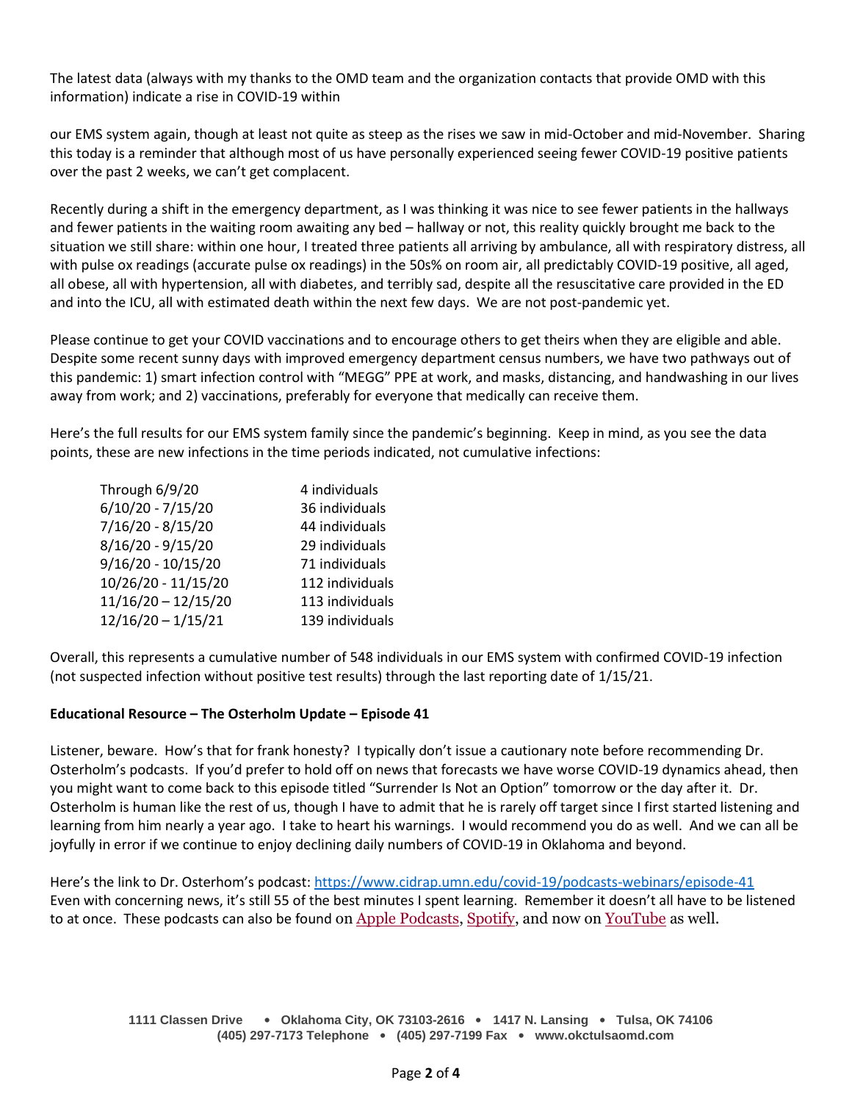The latest data (always with my thanks to the OMD team and the organization contacts that provide OMD with this information) indicate a rise in COVID-19 within

our EMS system again, though at least not quite as steep as the rises we saw in mid-October and mid-November. Sharing this today is a reminder that although most of us have personally experienced seeing fewer COVID-19 positive patients over the past 2 weeks, we can't get complacent.

Recently during a shift in the emergency department, as I was thinking it was nice to see fewer patients in the hallways and fewer patients in the waiting room awaiting any bed – hallway or not, this reality quickly brought me back to the situation we still share: within one hour, I treated three patients all arriving by ambulance, all with respiratory distress, all with pulse ox readings (accurate pulse ox readings) in the 50s% on room air, all predictably COVID-19 positive, all aged, all obese, all with hypertension, all with diabetes, and terribly sad, despite all the resuscitative care provided in the ED and into the ICU, all with estimated death within the next few days. We are not post-pandemic yet.

Please continue to get your COVID vaccinations and to encourage others to get theirs when they are eligible and able. Despite some recent sunny days with improved emergency department census numbers, we have two pathways out of this pandemic: 1) smart infection control with "MEGG" PPE at work, and masks, distancing, and handwashing in our lives away from work; and 2) vaccinations, preferably for everyone that medically can receive them.

Here's the full results for our EMS system family since the pandemic's beginning. Keep in mind, as you see the data points, these are new infections in the time periods indicated, not cumulative infections:

| Through 6/9/20        | 4 individuals   |
|-----------------------|-----------------|
| $6/10/20 - 7/15/20$   | 36 individuals  |
| 7/16/20 - 8/15/20     | 44 individuals  |
| $8/16/20 - 9/15/20$   | 29 individuals  |
| $9/16/20 - 10/15/20$  | 71 individuals  |
| 10/26/20 - 11/15/20   | 112 individuals |
| $11/16/20 - 12/15/20$ | 113 individuals |
| $12/16/20 - 1/15/21$  | 139 individuals |

Overall, this represents a cumulative number of 548 individuals in our EMS system with confirmed COVID-19 infection (not suspected infection without positive test results) through the last reporting date of 1/15/21.

# **Educational Resource – The Osterholm Update – Episode 41**

Listener, beware. How's that for frank honesty? I typically don't issue a cautionary note before recommending Dr. Osterholm's podcasts. If you'd prefer to hold off on news that forecasts we have worse COVID-19 dynamics ahead, then you might want to come back to this episode titled "Surrender Is Not an Option" tomorrow or the day after it. Dr. Osterholm is human like the rest of us, though I have to admit that he is rarely off target since I first started listening and learning from him nearly a year ago. I take to heart his warnings. I would recommend you do as well. And we can all be joyfully in error if we continue to enjoy declining daily numbers of COVID-19 in Oklahoma and beyond.

Here's the link to Dr. Osterhom's podcast: <https://www.cidrap.umn.edu/covid-19/podcasts-webinars/episode-41> Even with concerning news, it's still 55 of the best minutes I spent learning. Remember it doesn't all have to be listened to at once. These podcasts can also be found on [Apple Podcasts,](https://podcasts.apple.com/us/podcast/the-osterholm-update-covid-19/id1504360345) [Spotify,](https://open.spotify.com/show/0ymlroFYVlSAnoq0uqECGx) and now on [YouTube](https://www.youtube.com/c/OsterholmUpdateCOVID19) as well.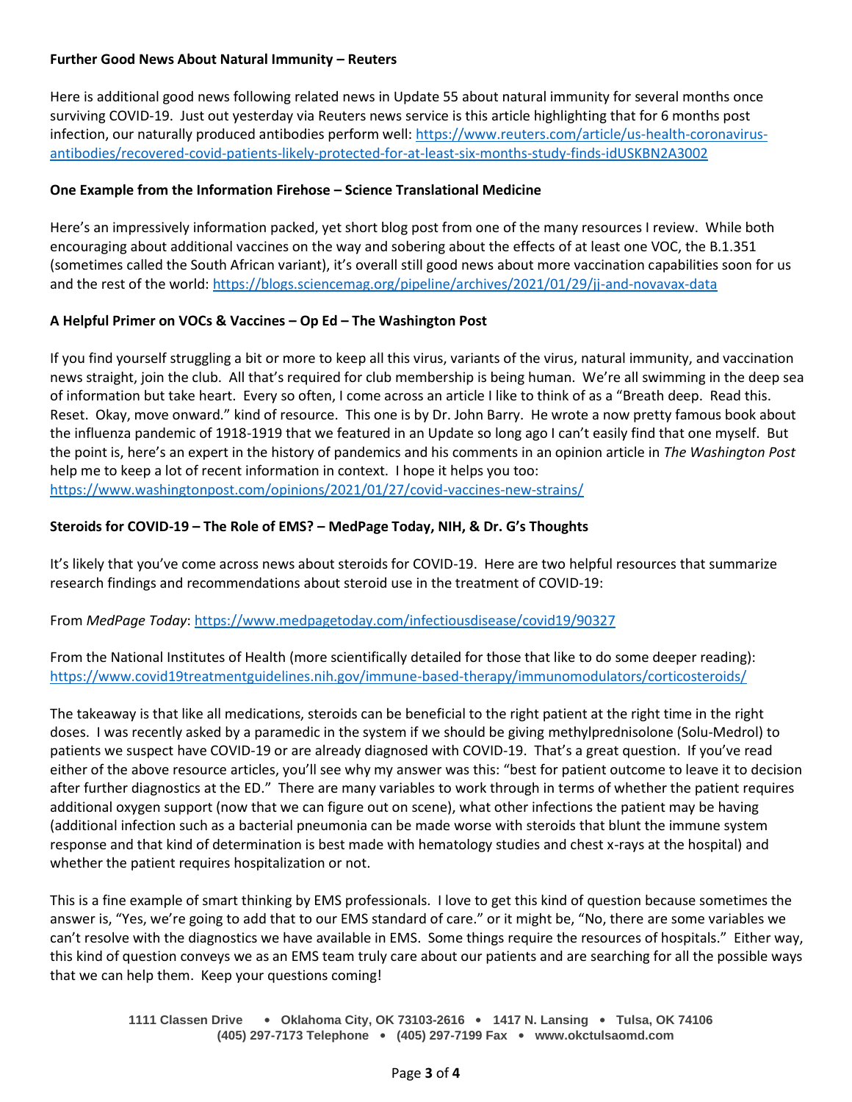# **Further Good News About Natural Immunity – Reuters**

Here is additional good news following related news in Update 55 about natural immunity for several months once surviving COVID-19. Just out yesterday via Reuters news service is this article highlighting that for 6 months post infection, our naturally produced antibodies perform well: [https://www.reuters.com/article/us-health-coronavirus](https://www.reuters.com/article/us-health-coronavirus-antibodies/recovered-covid-patients-likely-protected-for-at-least-six-months-study-finds-idUSKBN2A3002)[antibodies/recovered-covid-patients-likely-protected-for-at-least-six-months-study-finds-idUSKBN2A3002](https://www.reuters.com/article/us-health-coronavirus-antibodies/recovered-covid-patients-likely-protected-for-at-least-six-months-study-finds-idUSKBN2A3002)

# **One Example from the Information Firehose – Science Translational Medicine**

Here's an impressively information packed, yet short blog post from one of the many resources I review. While both encouraging about additional vaccines on the way and sobering about the effects of at least one VOC, the B.1.351 (sometimes called the South African variant), it's overall still good news about more vaccination capabilities soon for us and the rest of the world:<https://blogs.sciencemag.org/pipeline/archives/2021/01/29/jj-and-novavax-data>

# **A Helpful Primer on VOCs & Vaccines – Op Ed – The Washington Post**

If you find yourself struggling a bit or more to keep all this virus, variants of the virus, natural immunity, and vaccination news straight, join the club. All that's required for club membership is being human. We're all swimming in the deep sea of information but take heart. Every so often, I come across an article I like to think of as a "Breath deep. Read this. Reset. Okay, move onward." kind of resource. This one is by Dr. John Barry. He wrote a now pretty famous book about the influenza pandemic of 1918-1919 that we featured in an Update so long ago I can't easily find that one myself. But the point is, here's an expert in the history of pandemics and his comments in an opinion article in *The Washington Post* help me to keep a lot of recent information in context. I hope it helps you too: <https://www.washingtonpost.com/opinions/2021/01/27/covid-vaccines-new-strains/>

# **Steroids for COVID-19 – The Role of EMS? – MedPage Today, NIH, & Dr. G's Thoughts**

It's likely that you've come across news about steroids for COVID-19. Here are two helpful resources that summarize research findings and recommendations about steroid use in the treatment of COVID-19:

### From *MedPage Today*[: https://www.medpagetoday.com/infectiousdisease/covid19/90327](https://www.medpagetoday.com/infectiousdisease/covid19/90327)

From the National Institutes of Health (more scientifically detailed for those that like to do some deeper reading): <https://www.covid19treatmentguidelines.nih.gov/immune-based-therapy/immunomodulators/corticosteroids/>

The takeaway is that like all medications, steroids can be beneficial to the right patient at the right time in the right doses. I was recently asked by a paramedic in the system if we should be giving methylprednisolone (Solu-Medrol) to patients we suspect have COVID-19 or are already diagnosed with COVID-19. That's a great question. If you've read either of the above resource articles, you'll see why my answer was this: "best for patient outcome to leave it to decision after further diagnostics at the ED." There are many variables to work through in terms of whether the patient requires additional oxygen support (now that we can figure out on scene), what other infections the patient may be having (additional infection such as a bacterial pneumonia can be made worse with steroids that blunt the immune system response and that kind of determination is best made with hematology studies and chest x-rays at the hospital) and whether the patient requires hospitalization or not.

This is a fine example of smart thinking by EMS professionals. I love to get this kind of question because sometimes the answer is, "Yes, we're going to add that to our EMS standard of care." or it might be, "No, there are some variables we can't resolve with the diagnostics we have available in EMS. Some things require the resources of hospitals." Either way, this kind of question conveys we as an EMS team truly care about our patients and are searching for all the possible ways that we can help them. Keep your questions coming!